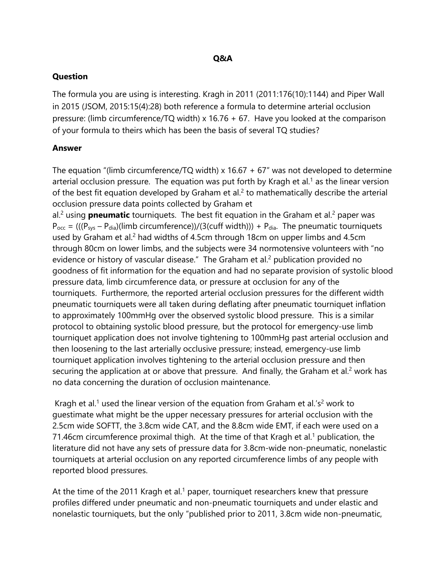## **Question**

The formula you are using is interesting. Kragh in 2011 (2011:176(10):1144) and Piper Wall in 2015 (JSOM, 2015:15(4):28) both reference a formula to determine arterial occlusion pressure: (limb circumference/TQ width) x 16.76 + 67. Have you looked at the comparison of your formula to theirs which has been the basis of several TQ studies?

## **Answer**

The equation "(limb circumference/TQ width) x  $16.67 + 67$ " was not developed to determine arterial occlusion pressure. The equation was put forth by Kragh et al.<sup>1</sup> as the linear version of the best fit equation developed by Graham et al.<sup>2</sup> to mathematically describe the arterial occlusion pressure data points collected by Graham et

al.<sup>2</sup> using **pneumatic** tourniquets. The best fit equation in the Graham et al.<sup>2</sup> paper was  $P_{\text{occ}} = (((P_{\text{sys}} - P_{\text{dia}})(\text{limb circumference}))/(3(\text{cuff width}))) + P_{\text{dia}}$ . The pneumatic tourniquets used by Graham et al.<sup>2</sup> had widths of 4.5cm through 18cm on upper limbs and 4.5cm through 80cm on lower limbs, and the subjects were 34 normotensive volunteers with "no evidence or history of vascular disease." The Graham et al.<sup>2</sup> publication provided no goodness of fit information for the equation and had no separate provision of systolic blood pressure data, limb circumference data, or pressure at occlusion for any of the tourniquets. Furthermore, the reported arterial occlusion pressures for the different width pneumatic tourniquets were all taken during deflating after pneumatic tourniquet inflation to approximately 100mmHg over the observed systolic blood pressure. This is a similar protocol to obtaining systolic blood pressure, but the protocol for emergency-use limb tourniquet application does not involve tightening to 100mmHg past arterial occlusion and then loosening to the last arterially occlusive pressure; instead, emergency-use limb tourniquet application involves tightening to the arterial occlusion pressure and then securing the application at or above that pressure. And finally, the Graham et al.<sup>2</sup> work has no data concerning the duration of occlusion maintenance.

Kragh et al.<sup>1</sup> used the linear version of the equation from Graham et al.'s<sup>2</sup> work to guestimate what might be the upper necessary pressures for arterial occlusion with the 2.5cm wide SOFTT, the 3.8cm wide CAT, and the 8.8cm wide EMT, if each were used on a 71.46cm circumference proximal thigh. At the time of that Kragh et al.<sup>1</sup> publication, the literature did not have any sets of pressure data for 3.8cm-wide non-pneumatic, nonelastic tourniquets at arterial occlusion on any reported circumference limbs of any people with reported blood pressures.

At the time of the 2011 Kragh et al.<sup>1</sup> paper, tourniquet researchers knew that pressure profiles differed under pneumatic and non-pneumatic tourniquets and under elastic and nonelastic tourniquets, but the only "published prior to 2011, 3.8cm wide non-pneumatic,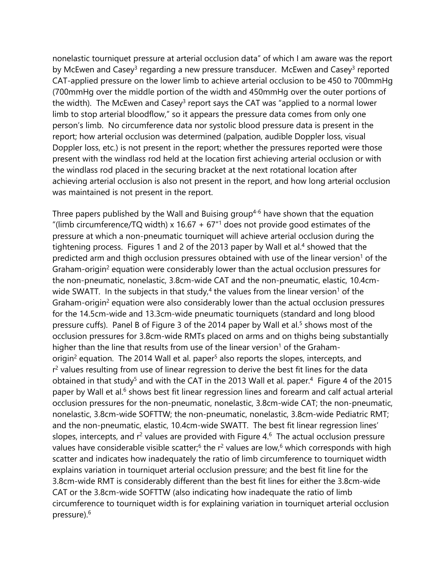nonelastic tourniquet pressure at arterial occlusion data" of which I am aware was the report by McEwen and Casey<sup>3</sup> regarding a new pressure transducer. McEwen and Casey<sup>3</sup> reported CAT-applied pressure on the lower limb to achieve arterial occlusion to be 450 to 700mmHg (700mmHg over the middle portion of the width and 450mmHg over the outer portions of the width). The McEwen and Casey<sup>3</sup> report says the CAT was "applied to a normal lower limb to stop arterial bloodflow," so it appears the pressure data comes from only one person's limb. No circumference data nor systolic blood pressure data is present in the report; how arterial occlusion was determined (palpation, audible Doppler loss, visual Doppler loss, etc.) is not present in the report; whether the pressures reported were those present with the windlass rod held at the location first achieving arterial occlusion or with the windlass rod placed in the securing bracket at the next rotational location after achieving arterial occlusion is also not present in the report, and how long arterial occlusion was maintained is not present in the report.

Three papers published by the Wall and Buising group<sup>4-6</sup> have shown that the equation "(limb circumference/TQ width) x 16.67 + 67 $n<sup>1</sup>$  does not provide good estimates of the pressure at which a non-pneumatic tourniquet will achieve arterial occlusion during the tightening process. Figures 1 and 2 of the 2013 paper by Wall et al.<sup>4</sup> showed that the predicted arm and thigh occlusion pressures obtained with use of the linear version<sup>1</sup> of the Graham-origin<sup>2</sup> equation were considerably lower than the actual occlusion pressures for the non-pneumatic, nonelastic, 3.8cm-wide CAT and the non-pneumatic, elastic, 10.4cmwide SWATT. In the subjects in that study,<sup>4</sup> the values from the linear version<sup>1</sup> of the Graham-origin<sup>2</sup> equation were also considerably lower than the actual occlusion pressures for the 14.5cm-wide and 13.3cm-wide pneumatic tourniquets (standard and long blood pressure cuffs). Panel B of Figure 3 of the 2014 paper by Wall et al.<sup>5</sup> shows most of the occlusion pressures for 3.8cm-wide RMTs placed on arms and on thighs being substantially higher than the line that results from use of the linear version<sup>1</sup> of the Grahamorigin<sup>2</sup> equation. The 2014 Wall et al. paper<sup>5</sup> also reports the slopes, intercepts, and r<sup>2</sup> values resulting from use of linear regression to derive the best fit lines for the data obtained in that study<sup>5</sup> and with the CAT in the 2013 Wall et al. paper.<sup>4</sup> Figure 4 of the 2015 paper by Wall et al.<sup>6</sup> shows best fit linear regression lines and forearm and calf actual arterial occlusion pressures for the non-pneumatic, nonelastic, 3.8cm-wide CAT; the non-pneumatic, nonelastic, 3.8cm-wide SOFTTW; the non-pneumatic, nonelastic, 3.8cm-wide Pediatric RMT; and the non-pneumatic, elastic, 10.4cm-wide SWATT. The best fit linear regression lines' slopes, intercepts, and  $r^2$  values are provided with Figure 4.<sup>6</sup> The actual occlusion pressure values have considerable visible scatter;<sup>6</sup> the r<sup>2</sup> values are low,<sup>6</sup> which corresponds with high scatter and indicates how inadequately the ratio of limb circumference to tourniquet width explains variation in tourniquet arterial occlusion pressure; and the best fit line for the 3.8cm-wide RMT is considerably different than the best fit lines for either the 3.8cm-wide CAT or the 3.8cm-wide SOFTTW (also indicating how inadequate the ratio of limb circumference to tourniquet width is for explaining variation in tourniquet arterial occlusion pressure).6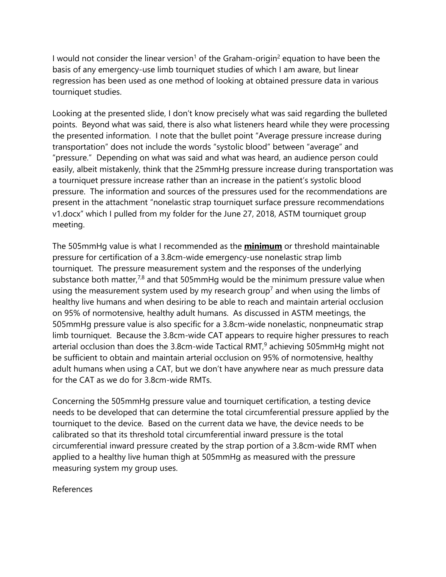I would not consider the linear version<sup>1</sup> of the Graham-origin<sup>2</sup> equation to have been the basis of any emergency-use limb tourniquet studies of which I am aware, but linear regression has been used as one method of looking at obtained pressure data in various tourniquet studies.

Looking at the presented slide, I don't know precisely what was said regarding the bulleted points. Beyond what was said, there is also what listeners heard while they were processing the presented information. I note that the bullet point "Average pressure increase during transportation" does not include the words "systolic blood" between "average" and "pressure." Depending on what was said and what was heard, an audience person could easily, albeit mistakenly, think that the 25mmHg pressure increase during transportation was a tourniquet pressure increase rather than an increase in the patient's systolic blood pressure. The information and sources of the pressures used for the recommendations are present in the attachment "nonelastic strap tourniquet surface pressure recommendations v1.docx" which I pulled from my folder for the June 27, 2018, ASTM tourniquet group meeting.

The 505mmHg value is what I recommended as the **minimum** or threshold maintainable pressure for certification of a 3.8cm-wide emergency-use nonelastic strap limb tourniquet. The pressure measurement system and the responses of the underlying substance both matter, $7,8$  and that 505mmHg would be the minimum pressure value when using the measurement system used by my research group<sup>7</sup> and when using the limbs of healthy live humans and when desiring to be able to reach and maintain arterial occlusion on 95% of normotensive, healthy adult humans. As discussed in ASTM meetings, the 505mmHg pressure value is also specific for a 3.8cm-wide nonelastic, nonpneumatic strap limb tourniquet. Because the 3.8cm-wide CAT appears to require higher pressures to reach arterial occlusion than does the 3.8cm-wide Tactical RMT, $9$  achieving 505mmHg might not be sufficient to obtain and maintain arterial occlusion on 95% of normotensive, healthy adult humans when using a CAT, but we don't have anywhere near as much pressure data for the CAT as we do for 3.8cm-wide RMTs.

Concerning the 505mmHg pressure value and tourniquet certification, a testing device needs to be developed that can determine the total circumferential pressure applied by the tourniquet to the device. Based on the current data we have, the device needs to be calibrated so that its threshold total circumferential inward pressure is the total circumferential inward pressure created by the strap portion of a 3.8cm-wide RMT when applied to a healthy live human thigh at 505mmHg as measured with the pressure measuring system my group uses.

References